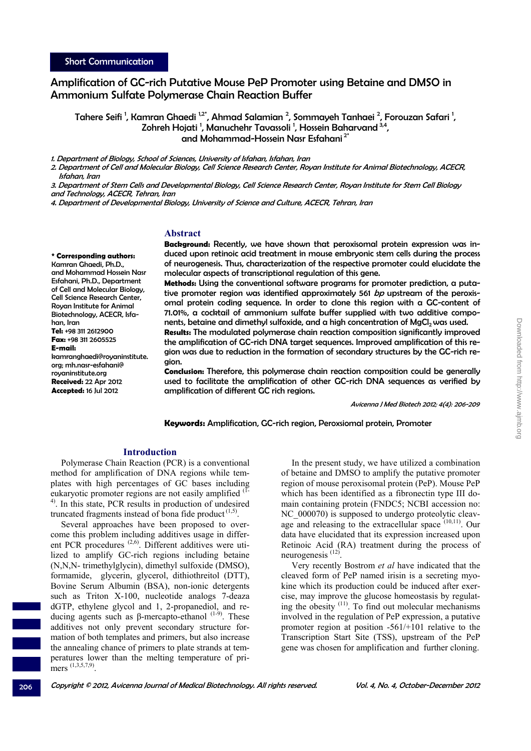# Amplification of GC-rich Putative Mouse PeP Promoter using Betaine and DMSO in Ammonium Sulfate Polymerase Chain Reaction Buffer

Tahere Seifi <sup>1</sup>, Kamran Ghaedi <sup>1,2</sup>\*, Ahmad Salamian <sup>2</sup>, Sommayeh Tanhaei <sup>2</sup>, Forouzan Safari <sup>1</sup>, Zohreh Hojati <sup>1</sup>, Manuchehr Tavassoli <sup>1</sup>, Hossein Baharvand <sup>3,4</sup>, and Mohammad-Hossein Nasr Esfahani 2\*

1. Department of Biology, School of Sciences, University of Isfahan, Isfahan, Iran

2. Department of Cell and Molecular Biology, Cell Science Research Center, Royan Institute for Animal Biotechnology, ACECR, Isfahan, Iran

3. Department of Stem Cells and Developmental Biology, Cell Science Research Center, Royan Institute for Stem Cell Biology and Technology, ACECR, Tehran, Iran

4. Department of Developmental Biology, University of Science and Culture, ACECR, Tehran, Iran

### **Abstract**

**\* Corresponding authors:**  Kamran Ghaedi, Ph.D., and Mohammad Hossein Nasr Esfahani, Ph.D., Department of Cell and Molecular Biology, Cell Science Research Center, Royan Institute for Animal Biotechnology, ACECR, Isfahan, Iran **Tel:** +98 311 2612900 **Fax:** +98 311 2605525 **E-mail:** kamranghaedi@royaninstitute. org; mh.nasr-esfahani@ royaninstitute.org **Received:** 22 Apr 2012 **Accepted:** 16 Jul 2012

**Background:** Recently, we have shown that peroxisomal protein expression was induced upon retinoic acid treatment in mouse embryonic stem cells during the process of neurogenesis. Thus, characterization of the respective promoter could elucidate the molecular aspects of transcriptional regulation of this gene.

**Methods:** Using the conventional software programs for promoter prediction, a putative promoter region was identified approximately 561 bp upstream of the peroxisomal protein coding sequence. In order to clone this region with a GC-content of 71.01%, a cocktail of ammonium sulfate buffer supplied with two additive components, betaine and dimethyl sulfoxide, and a high concentration of  $MgCl<sub>2</sub>$  was used.

**Results:** The modulated polymerase chain reaction composition significantly improved the amplification of GC-rich DNA target sequences. Improved amplification of this region was due to reduction in the formation of secondary structures by the GC-rich region.

**Conclusion:** Therefore, this polymerase chain reaction composition could be generally used to facilitate the amplification of other GC-rich DNA sequences as verified by amplification of different GC rich regions.

Avicenna J Med Biotech 2012; 4(4): 206-209

**Keywords:** Amplification, GC-rich region, Peroxsiomal protein, Promoter

### **Introduction**

Polymerase Chain Reaction (PCR) is a conventional method for amplification of DNA regions while templates with high percentages of GC bases including eukaryotic promoter regions are not easily amplified (1- <sup>4)</sup>. In this state, PCR results in production of undesired truncated fragments instead of bona fide product  $(1,5)$ .

Several approaches have been proposed to overcome this problem including additives usage in different PCR procedures <sup>(2,6)</sup>. Different additives were utilized to amplify GC-rich regions including betaine (N,N,N- trimethylglycin), dimethyl sulfoxide (DMSO), formamide, glycerin, glycerol, dithiothreitol (DTT), Bovine Serum Albumin (BSA), non-ionic detergents such as Triton X-100, nucleotide analogs 7-deaza dGTP, ethylene glycol and 1, 2-propanediol, and reducing agents such as β-mercapto-ethanol  $(1-9)$ . These additives not only prevent secondary structure formation of both templates and primers, but also increase the annealing chance of primers to plate strands at temperatures lower than the melting temperature of primers  $(1,3,5,7,9)$ .

In the present study, we have utilized a combination of betaine and DMSO to amplify the putative promoter region of mouse peroxisomal protein (PeP). Mouse PeP which has been identified as a fibronectin type III domain containing protein (FNDC5; NCBI accession no: NC 000070) is supposed to undergo proteolytic cleavage and releasing to the extracellular space (10,11). Our data have elucidated that its expression increased upon Retinoic Acid (RA) treatment during the process of neurogenesis (12).

Very recently Bostrom *et al* have indicated that the cleaved form of PeP named irisin is a secreting myokine which its production could be induced after exercise, may improve the glucose homeostasis by regulating the obesity  $(11)$ . To find out molecular mechanisms involved in the regulation of PeP expression, a putative promoter region at position -561/+101 relative to the Transcription Start Site (TSS), upstream of the PeP gene was chosen for amplification and further cloning.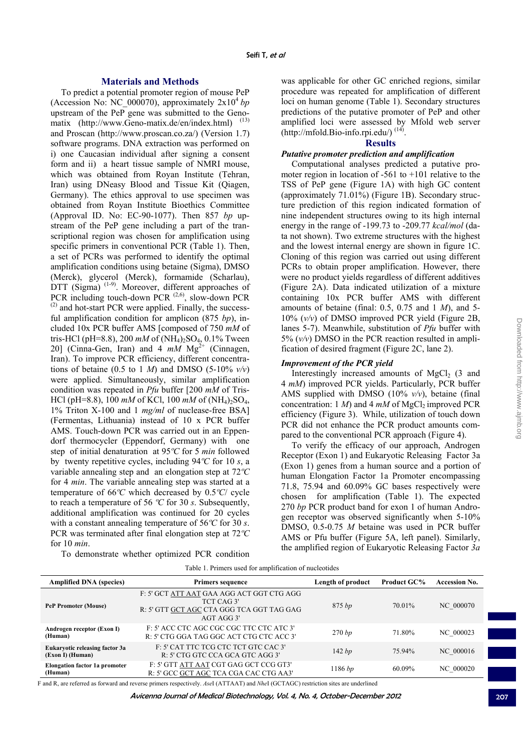# **Materials and Methods**

To predict a potential promoter region of mouse PeP (Accession No: NC\_000070), approximately  $2x10^4$  *bp* upstream of the PeP gene was submitted to the Genomatix (http://www.Geno-matix.de/en/index.html) (13) and Proscan (http://www.proscan.co.za/) (Version 1.7) software programs. DNA extraction was performed on i) one Caucasian individual after signing a consent form and ii) a heart tissue sample of NMRI mouse, which was obtained from Royan Institute (Tehran, Iran) using DNeasy Blood and Tissue Kit (Qiagen, Germany). The ethics approval to use specimen was obtained from Royan Institute Bioethics Committee (Approval ID. No: EC-90-1077). Then 857 *bp* upstream of the PeP gene including a part of the transcriptional region was chosen for amplification using specific primers in conventional PCR (Table 1). Then, a set of PCRs was performed to identify the optimal amplification conditions using betaine (Sigma), DMSO (Merck), glycerol (Merck), formamide (Scharlau), DTT (Sigma) <sup>(1-9)</sup>. Moreover, different approaches of PCR including touch-down PCR  $(2,6)$ , slow-down PCR  $(2)$  and hot-start PCR were applied. Finally, the successful amplification condition for amplicon (875 *bp*), included 10x PCR buffer AMS [composed of 750 *mM* of tris-HCl (pH=8.8), 200  $mM$  of (NH<sub>4</sub>)<sub>2</sub>SO<sub>4</sub>, 0.1% Tween 20] (Cinna-Gen, Iran) and 4  $mM$  Mg<sup>2+</sup> (Cinnagen, Iran). To improve PCR efficiency, different concentrations of betaine (0.5 to 1  $M$ ) and DMSO (5-10%  $v/v$ ) were applied. Simultaneously, similar amplification condition was repeated in *Pfu* buffer [200 *mM* of Tris-HCl (pH=8.8), 100  $mM$  of KCl, 100  $mM$  of (NH<sub>4</sub>)<sub>2</sub>SO<sub>4</sub>, 1% Triton X-100 and 1 *mg/ml* of nuclease-free BSA] (Fermentas, Lithuania) instead of 10 x PCR buffer AMS. Touch-down PCR was carried out in an Eppendorf thermocycler (Eppendorf, Germany) with one step of initial denaturation at 95*ºC* for 5 *min* followed by twenty repetitive cycles, including 94*ºC* for 10 *s*, a variable annealing step and an elongation step at 72*ºC* for 4 *min*. The variable annealing step was started at a temperature of 66*ºC* which decreased by 0.5*ºC*/ cycle to reach a temperature of 56 *ºC* for 30 *s*. Subsequently, additional amplification was continued for 20 cycles with a constant annealing temperature of 56*ºC* for 30 *s*. PCR was terminated after final elongation step at 72*ºC* for 10 *min*.

To demonstrate whether optimized PCR condition

was applicable for other GC enriched regions, similar procedure was repeated for amplification of different loci on human genome (Table 1). Secondary structures predictions of the putative promoter of PeP and other amplified loci were assessed by Mfold web server  $(http://mfold.Bio-info.rpi.edu/ (14)$ 

## **Results**

# *Putative promoter prediction and amplification*

Computational analyses predicted a putative promoter region in location of -561 to +101 relative to the TSS of PeP gene (Figure 1A) with high GC content (approximately 71.01%) (Figure 1B). Secondary structure prediction of this region indicated formation of nine independent structures owing to its high internal energy in the range of -199.73 to -209.77 *kcal/mol* (data not shown). Two extreme structures with the highest and the lowest internal energy are shown in figure 1C. Cloning of this region was carried out using different PCRs to obtain proper amplification. However, there were no product yields regardless of different additives (Figure 2A). Data indicated utilization of a mixture containing 10x PCR buffer AMS with different amounts of betaine (final: 0.5, 0.75 and 1 *M*), and 5- 10% (*v/v*) of DMSO improved PCR yield (Figure 2B, lanes 5-7). Meanwhile, substitution of *Pfu* buffer with 5% (*v/v*) DMSO in the PCR reaction resulted in amplification of desired fragment (Figure 2C, lane 2).

# *Improvement of the PCR yield*

Interestingly increased amounts of  $MgCl<sub>2</sub>$  (3 and 4 *mM*) improved PCR yields. Particularly, PCR buffer AMS supplied with DMSO (10% *v/v*), betaine (final concentration: 1  $M$ ) and 4  $mM$  of MgCl<sub>2</sub> improved PCR efficiency (Figure 3). While, utilization of touch down PCR did not enhance the PCR product amounts compared to the conventional PCR approach (Figure 4).

To verify the efficacy of our approach, Androgen Receptor (Exon 1) and Eukaryotic Releasing Factor 3a (Exon 1) genes from a human source and a portion of human Elongation Factor 1a Promoter encompassing 71.8, 75.94 and 60.09% GC bases respectively were chosen for amplification (Table 1). The expected 270 *bp* PCR product band for exon 1 of human Androgen receptor was observed significantly when 5-10% DMSO, 0.5-0.75 *M* betaine was used in PCR buffer AMS or Pfu buffer (Figure 5A, left panel). Similarly, the amplified region of Eukaryotic Releasing Factor *3a*

| <b>Amplified DNA</b> (species)                            | <b>Primers sequence</b>                                                                                            | Length of product | <b>Product GC%</b> | <b>Accession No.</b> |
|-----------------------------------------------------------|--------------------------------------------------------------------------------------------------------------------|-------------------|--------------------|----------------------|
| <b>PeP Promoter (Mouse)</b>                               | F: 5' GCT ATT AAT GAA AGG ACT GGT CTG AGG<br>TCT CAG 3'<br>R: 5' GTT GCT AGC CTA GGG TCA GGT TAG GAG<br>AGT AGG 3' | 875 bp            | 70.01%             | NC 000070            |
| Androgen receptor (Exon I)<br>(Human)                     | F: 5' ACC CTC AGC CGC CGC TTC CTC ATC 3'<br>R: 5' CTG GGA TAG GGC ACT CTG CTC ACC 3'                               | 270 bp            | 71.80%             | NC 000023            |
| <b>Eukaryotic releasing factor 3a</b><br>(Exon I) (Human) | F: 5' CAT TTC TCG CTC TCT GTC CAC 3'<br>R: 5' CTG GTC CCA GCA GTC AGG 3'                                           | 142bp             | 75.94%             | NC 000016            |
| <b>Elongation factor 1a promoter</b><br>(Human)           | F: 5' GTT ATT AAT CGT GAG GCT CCG GT3'<br>R: 5' GCC GCT AGC TCA CGA CAC CTG AA3'                                   | 1186 bp           | 60.09%             | NC 000020            |

F and R, are referred as forward and reverse primers respectively. *Ase*I (ATTAAT) and *Nhe*I (GCTAGC) restriction sites are underlined

Avicenna Journal of Medical Biotechnology, Vol. 4, No. 4, October-December 2012 207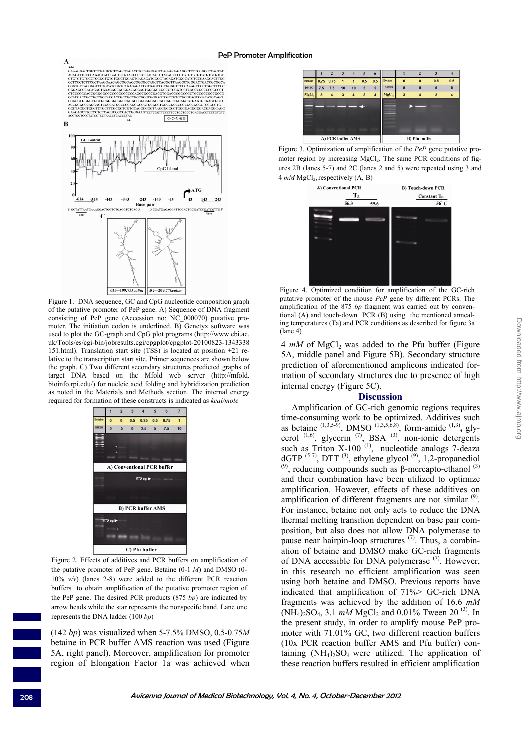#### PeP Promoter Amplification



Figure 1. DNA sequence, GC and CpG nucleotide composition graph of the putative promoter of PeP gene. A) Sequence of DNA fragment consisting of PeP gene (Accession no: NC\_000070) putative promoter. The initiation codon is underlined. B) Genetyx software was used to plot the GC-graph and CpG plot programs (http://www.ebi.ac. uk/Tools/es/cgi-bin/jobresults.cgi/cpgplot/cpgplot-20100823-1343338 151.html). Translation start site (TSS) is located at position +21 relative to the transcription start site. Primer sequences are shown below the graph. C) Two different secondary structures predicted graphs of target DNA based on the Mfold web server (http://mfold. bioinfo.rpi.edu/) for nucleic acid folding and hybridization prediction as noted in the Materials and Methods section. The internal energy required for formation of these constructs is indicated as *kcal/mole*



Figure 2. Effects of additives and PCR buffers on amplification of the putative promoter of PeP gene. Betaine (0-1 *M*) and DMSO (0- 10% *v/v*) (lanes 2-8) were added to the different PCR reaction buffers to obtain amplification of the putative promoter region of the PeP gene. The desired PCR products (875 *bp*) are indicated by arrow heads while the star represents the nonspecifc band. Lane one represents the DNA ladder (100 *bp*)

(142 *bp*) was visualized when 5-7.5% DMSO, 0.5-0.75*M* betaine in PCR buffer AMS reaction was used (Figure 5A, right panel). Moreover, amplification for promoter region of Elongation Factor 1a was achieved when



Figure 3. Optimization of amplification of the *PeP* gene putative promoter region by increasing MgCl<sub>2</sub>. The same PCR conditions of figures 2B (lanes 5-7) and 2C (lanes 2 and 5) were repeated using 3 and 4 *mM* MgCl<sub>2</sub>, respectively (A, B)



Figure 4. Optimized condition for amplification of the GC-rich putative promoter of the mouse *PeP* gene by different PCRs. The amplification of the 875 *bp* fragment was carried out by conventional (A) and touch-down PCR (B) using the mentioned annealing temperatures (Ta) and PCR conditions as described for figure 3a (lane 4)

4  $mM$  of MgCl<sub>2</sub> was added to the Pfu buffer (Figure 5A, middle panel and Figure 5B). Secondary structure prediction of aforementioned amplicons indicated formation of secondary structures due to presence of high internal energy (Figure 5C).

### **Discussion**

Amplification of GC-rich genomic regions requires time-consuming work to be optimized. Additives such as betaine  $^{(1,3,5-5)}$ , DMSO  $^{(1,3,5,6,8)}$ , form-amide  $^{(1,3)}$ , glycerol  $^{(1,6)}$ , glycerin  $^{(7)}$ , BSA  $^{(3)}$ , non-ionic detergents such as Triton  $X-100$ <sup>(1)</sup>, nucleotide analogs 7-deaza dGTP  $^{(5-7)}$ , DTT  $^{(3)}$ , ethylene glycol  $^{(9)}$ , 1,2-propanediol  $(9)$ , reducing compounds such as β-mercapto-ethanol  $(3)$ and their combination have been utilized to optimize amplification. However, effects of these additives on amplification of different fragments are not similar <sup>(9)</sup>. For instance, betaine not only acts to reduce the DNA thermal melting transition dependent on base pair composition, but also does not allow DNA polymerase to pause near hairpin-loop structures  $(7)$ . Thus, a combination of betaine and DMSO make GC-rich fragments of DNA accessible for DNA polymerase <sup>(7)</sup>. However, in this research no efficient amplification was seen using both betaine and DMSO. Previous reports have indicated that amplification of 71%> GC-rich DNA fragments was achieved by the addition of 16.6 *mM*  $(NH_4)_2SO_4$ , 3.1 *mM* MgCl<sub>2</sub> and 0.01% Tween 20<sup>(3)</sup>. In the present study, in order to amplify mouse PeP promoter with 71.01% GC, two different reaction buffers (10x PCR reaction buffer AMS and Pfu buffer) containing  $(NH_4)$ <sub>2</sub>SO<sub>4</sub> were utilized. The application of these reaction buffers resulted in efficient amplification